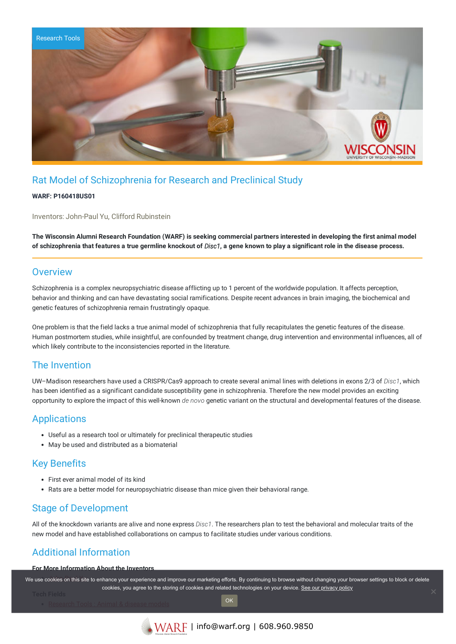

# Rat Model of Schizophrenia for Research and Preclinical Study

#### **WARF: P160418US01**

Inventors: John-Paul Yu, Clifford Rubinstein

The Wisconsin Alumni Research Foundation (WARF) is seeking commercial partners interested in developing the first animal model of schizophrenia that features a true germline knockout of Disc1, a gene known to play a significant role in the disease process.

#### **Overview**

Schizophrenia is a complex neuropsychiatric disease afflicting up to 1 percent of the worldwide population. It affects perception, behavior and thinking and can have devastating social ramifications. Despite recent advances in brain imaging, the biochemical and genetic features of schizophrenia remain frustratingly opaque.

One problem is that the field lacks a true animal model of schizophrenia that fully recapitulates the genetic features of the disease. Human postmortem studies, while insightful, are confounded by treatment change, drug intervention and environmental influences, all of which likely contribute to the inconsistencies reported in the literature.

### The Invention

UW–Madison researchers have used a CRISPR/Cas9 approach to create several animal lines with deletions in exons 2/3 of *Disc1*, which has been identified as a significant candidate susceptibility gene in schizophrenia. Therefore the new model provides an exciting opportunity to explore the impact of this well-known *de novo* genetic variant on the structural and developmental features of the disease.

## Applications

- Useful as a research tool or ultimately for preclinical therapeutic studies
- May be used and distributed as a biomaterial

## Key Benefits

- First ever animal model of its kind
- Rats are a better model for neuropsychiatric disease than mice given their behavioral range.

## Stage of Development

All of the knockdown variants are alive and none express *Disc1*. The researchers plan to test the behavioral and molecular traits of the new model and have established collaborations on campus to facilitate studies under various conditions.

# Additional Information

#### **For More Information About the Inventors**

We use cookies on this site to enhance your experience and improve our marketing efforts. By continuing to browse without changing your browser settings to block or delete cookies, you agree to the storing of cookies and related technologies on your device. [See our privacy policy](https://www.warf.org/privacy-policy/)

**OK**